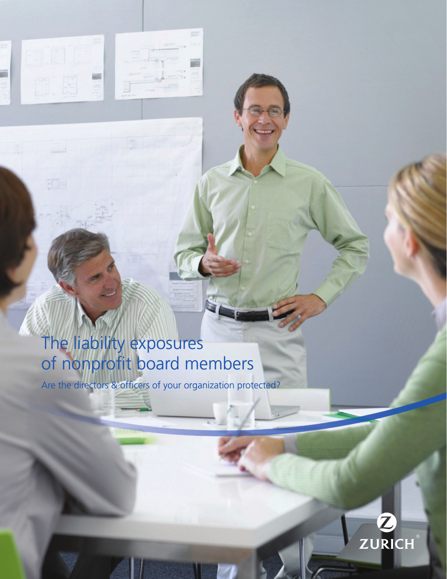# The liability exposures of nonprofit board members

**COL** 

Are the directors & officers of your organization protected?

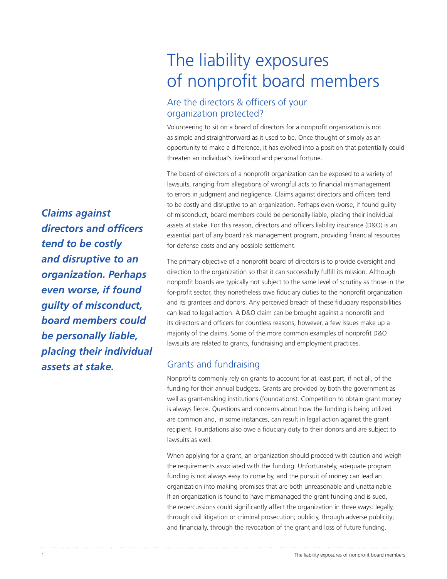## The liability exposures of nonprofit board members

### Are the directors & officers of your organization protected?

Volunteering to sit on a board of directors for a nonprofit organization is not as simple and straightforward as it used to be. Once thought of simply as an opportunity to make a difference, it has evolved into a position that potentially could threaten an individual's livelihood and personal fortune.

The board of directors of a nonprofit organization can be exposed to a variety of lawsuits, ranging from allegations of wrongful acts to financial mismanagement to errors in judgment and negligence. Claims against directors and officers tend to be costly and disruptive to an organization. Perhaps even worse, if found guilty of misconduct, board members could be personally liable, placing their individual assets at stake. For this reason, directors and officers liability insurance (D&O) is an essential part of any board risk management program, providing financial resources for defense costs and any possible settlement.

The primary objective of a nonprofit board of directors is to provide oversight and direction to the organization so that it can successfully fulfill its mission. Although nonprofit boards are typically not subject to the same level of scrutiny as those in the for-profit sector, they nonetheless owe fiduciary duties to the nonprofit organization and its grantees and donors. Any perceived breach of these fiduciary responsibilities can lead to legal action. A D&O claim can be brought against a nonprofit and its directors and officers for countless reasons; however, a few issues make up a majority of the claims. Some of the more common examples of nonprofit D&O lawsuits are related to grants, fundraising and employment practices.

#### Grants and fundraising

Nonprofits commonly rely on grants to account for at least part, if not all, of the funding for their annual budgets. Grants are provided by both the government as well as grant-making institutions (foundations). Competition to obtain grant money is always fierce. Questions and concerns about how the funding is being utilized are common and, in some instances, can result in legal action against the grant recipient. Foundations also owe a fiduciary duty to their donors and are subject to lawsuits as well.

When applying for a grant, an organization should proceed with caution and weigh the requirements associated with the funding. Unfortunately, adequate program funding is not always easy to come by, and the pursuit of money can lead an organization into making promises that are both unreasonable and unattainable. If an organization is found to have mismanaged the grant funding and is sued, the repercussions could significantly affect the organization in three ways: legally, through civil litigation or criminal prosecution; publicly, through adverse publicity; and financially, through the revocation of the grant and loss of future funding.

*Claims against directors and officers tend to be costly and disruptive to an organization. Perhaps even worse, if found guilty of misconduct, board members could be personally liable, placing their individual assets at stake.*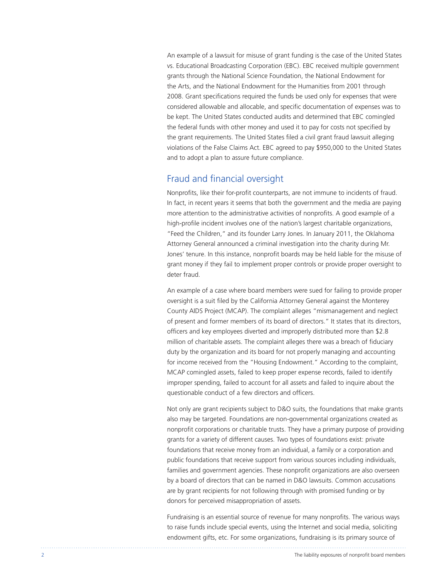An example of a lawsuit for misuse of grant funding is the case of the United States vs. Educational Broadcasting Corporation (EBC). EBC received multiple government grants through the National Science Foundation, the National Endowment for the Arts, and the National Endowment for the Humanities from 2001 through 2008. Grant specifications required the funds be used only for expenses that were considered allowable and allocable, and specific documentation of expenses was to be kept. The United States conducted audits and determined that EBC comingled the federal funds with other money and used it to pay for costs not specified by the grant requirements. The United States filed a civil grant fraud lawsuit alleging violations of the False Claims Act. EBC agreed to pay \$950,000 to the United States and to adopt a plan to assure future compliance.

#### Fraud and financial oversight

Nonprofits, like their for-profit counterparts, are not immune to incidents of fraud. In fact, in recent years it seems that both the government and the media are paying more attention to the administrative activities of nonprofits. A good example of a high-profile incident involves one of the nation's largest charitable organizations, "Feed the Children," and its founder Larry Jones. In January 2011, the Oklahoma Attorney General announced a criminal investigation into the charity during Mr. Jones' tenure. In this instance, nonprofit boards may be held liable for the misuse of grant money if they fail to implement proper controls or provide proper oversight to deter fraud.

An example of a case where board members were sued for failing to provide proper oversight is a suit filed by the California Attorney General against the Monterey County AIDS Project (MCAP). The complaint alleges "mismanagement and neglect of present and former members of its board of directors." It states that its directors, officers and key employees diverted and improperly distributed more than \$2.8 million of charitable assets. The complaint alleges there was a breach of fiduciary duty by the organization and its board for not properly managing and accounting for income received from the "Housing Endowment." According to the complaint, MCAP comingled assets, failed to keep proper expense records, failed to identify improper spending, failed to account for all assets and failed to inquire about the questionable conduct of a few directors and officers.

Not only are grant recipients subject to D&O suits, the foundations that make grants also may be targeted. Foundations are non-governmental organizations created as nonprofit corporations or charitable trusts. They have a primary purpose of providing grants for a variety of different causes. Two types of foundations exist: private foundations that receive money from an individual, a family or a corporation and public foundations that receive support from various sources including individuals, families and government agencies. These nonprofit organizations are also overseen by a board of directors that can be named in D&O lawsuits. Common accusations are by grant recipients for not following through with promised funding or by donors for perceived misappropriation of assets.

Fundraising is an essential source of revenue for many nonprofits. The various ways to raise funds include special events, using the Internet and social media, soliciting endowment gifts, etc. For some organizations, fundraising is its primary source of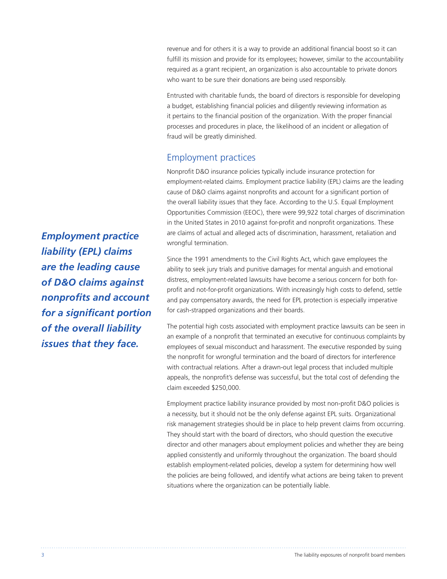revenue and for others it is a way to provide an additional financial boost so it can fulfill its mission and provide for its employees; however, similar to the accountability required as a grant recipient, an organization is also accountable to private donors who want to be sure their donations are being used responsibly.

Entrusted with charitable funds, the board of directors is responsible for developing a budget, establishing financial policies and diligently reviewing information as it pertains to the financial position of the organization. With the proper financial processes and procedures in place, the likelihood of an incident or allegation of fraud will be greatly diminished.

#### Employment practices

Nonprofit D&O insurance policies typically include insurance protection for employment-related claims. Employment practice liability (EPL) claims are the leading cause of D&O claims against nonprofits and account for a significant portion of the overall liability issues that they face. According to the U.S. Equal Employment Opportunities Commission (EEOC), there were 99,922 total charges of discrimination in the United States in 2010 against for-profit and nonprofit organizations. These are claims of actual and alleged acts of discrimination, harassment, retaliation and wrongful termination.

Since the 1991 amendments to the Civil Rights Act, which gave employees the ability to seek jury trials and punitive damages for mental anguish and emotional distress, employment-related lawsuits have become a serious concern for both forprofit and not-for-profit organizations. With increasingly high costs to defend, settle and pay compensatory awards, the need for EPL protection is especially imperative for cash-strapped organizations and their boards.

The potential high costs associated with employment practice lawsuits can be seen in an example of a nonprofit that terminated an executive for continuous complaints by employees of sexual misconduct and harassment. The executive responded by suing the nonprofit for wrongful termination and the board of directors for interference with contractual relations. After a drawn-out legal process that included multiple appeals, the nonprofit's defense was successful, but the total cost of defending the claim exceeded \$250,000.

Employment practice liability insurance provided by most non-profit D&O policies is a necessity, but it should not be the only defense against EPL suits. Organizational risk management strategies should be in place to help prevent claims from occurring. They should start with the board of directors, who should question the executive director and other managers about employment policies and whether they are being applied consistently and uniformly throughout the organization. The board should establish employment-related policies, develop a system for determining how well the policies are being followed, and identify what actions are being taken to prevent situations where the organization can be potentially liable.

*Employment practice liability (EPL) claims are the leading cause of D&O claims against nonprofits and account for a significant portion of the overall liability issues that they face.*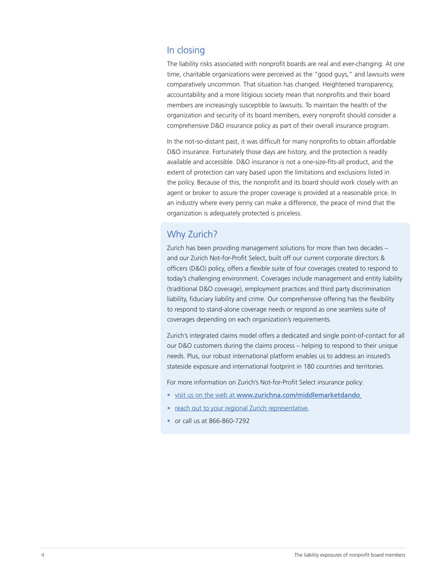#### In closing

The liability risks associated with nonprofit boards are real and ever-changing. At one time, charitable organizations were perceived as the "good guys," and lawsuits were comparatively uncommon. That situation has changed. Heightened transparency, accountability and a more litigious society mean that nonprofits and their board members are increasingly susceptible to lawsuits. To maintain the health of the organization and security of its board members, every nonprofit should consider a comprehensive D&O insurance policy as part of their overall insurance program.

In the not-so-distant past, it was difficult for many nonprofits to obtain affordable D&O insurance. Fortunately those days are history, and the protection is readily available and accessible. D&O insurance is not a one-size-fits-all product, and the extent of protection can vary based upon the limitations and exclusions listed in the policy. Because of this, the nonprofit and its board should work closely with an agent or broker to assure the proper coverage is provided at a reasonable price. In an industry where every penny can make a difference, the peace of mind that the organization is adequately protected is priceless.

#### Why Zurich?

Zurich has been providing management solutions for more than two decades – and our Zurich Not-for-Profit Select, built off our current corporate directors & officers (D&O) policy, offers a flexible suite of four coverages created to respond to today's challenging environment. Coverages include management and entity liability (traditional D&O coverage), employment practices and third party discrimination liability, fiduciary liability and crime. Our comprehensive offering has the flexibility to respond to stand-alone coverage needs or respond as one seamless suite of coverages depending on each organization's requirements.

Zurich's integrated claims model offers a dedicated and single point-of-contact for all our D&O customers during the claims process – helping to respond to their unique needs. Plus, our robust international platform enables us to address an insured's stateside exposure and international footprint in 180 countries and territories.

For more information on Zurich's Not-for-Profit Select insurance policy:

- visit us on the web at www.zurichna.com/middlemarketdando
- reach out to your regional Zurich representative.
- or call us at 866-860-7292